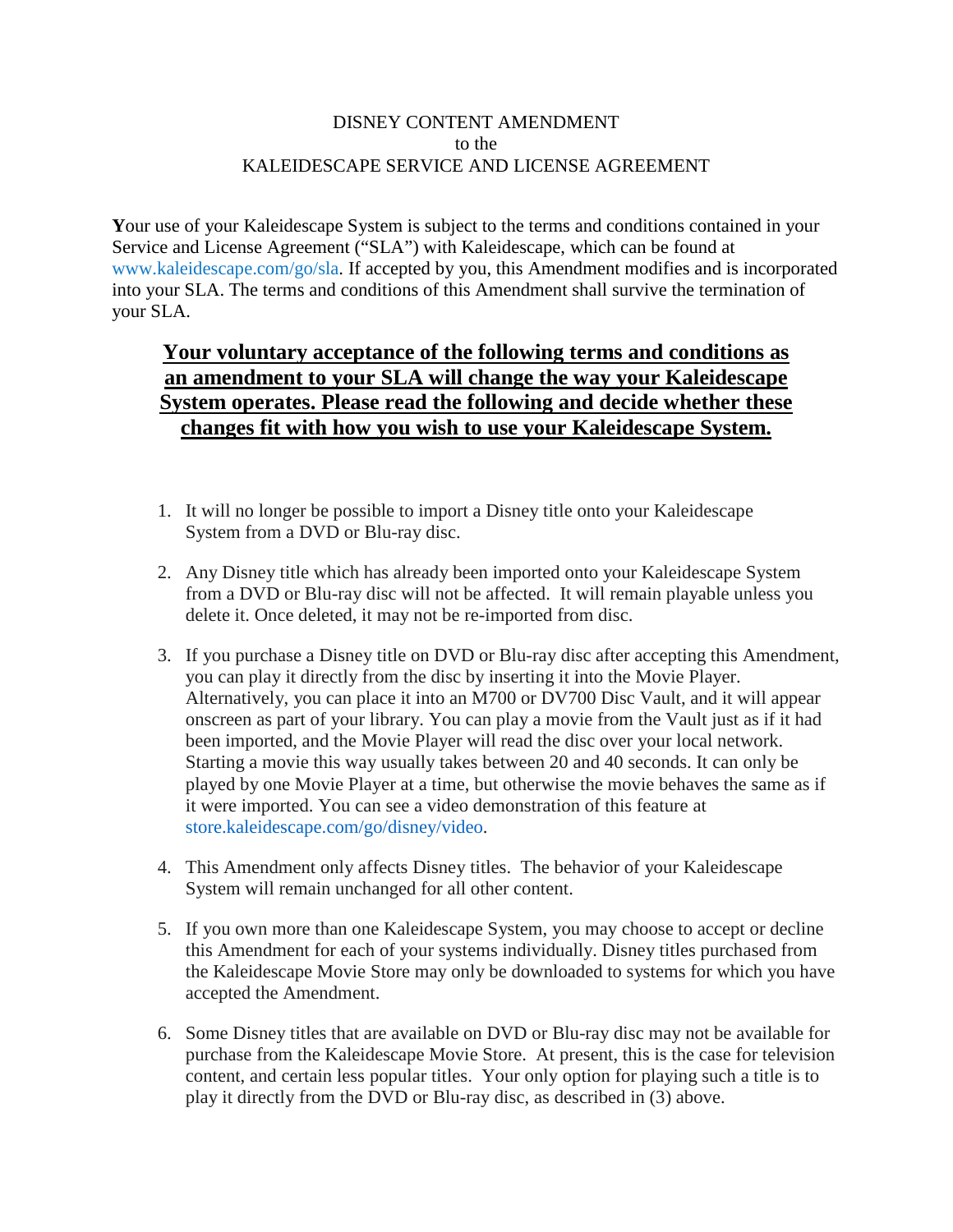## DISNEY CONTENT AMENDMENT to the KALEIDESCAPE SERVICE AND LICENSE AGREEMENT

**Y**our use of your Kaleidescape System is subject to the terms and conditions contained in your Service and License Agreement ("SLA") with Kaleidescape, which can be found at [www.kaleidescape.com/go/sla.](http://www.kaleidescape.com/go/sla) If accepted by you, this Amendment modifies and is incorporated into your SLA. The terms and conditions of this Amendment shall survive the termination of your SLA.

## **Your voluntary acceptance of the following terms and conditions as an amendment to your SLA will change the way your Kaleidescape System operates. Please read the following and decide whether these changes fit with how you wish to use your Kaleidescape System.**

- 1. It will no longer be possible to import a Disney title onto your Kaleidescape System from a DVD or Blu-ray disc.
- 2. Any Disney title which has already been imported onto your Kaleidescape System from a DVD or Blu-ray disc will not be affected. It will remain playable unless you delete it. Once deleted, it may not be re-imported from disc.
- 3. If you purchase a Disney title on DVD or Blu-ray disc after accepting this Amendment, you can play it directly from the disc by inserting it into the Movie Player. Alternatively, you can place it into an M700 or DV700 Disc Vault, and it will appear onscreen as part of your library. You can play a movie from the Vault just as if it had been imported, and the Movie Player will read the disc over your local network. Starting a movie this way usually takes between 20 and 40 seconds. It can only be played by one Movie Player at a time, but otherwise the movie behaves the same as if it were imported. You can see a video demonstration of this feature at [store.kaleidescape.com/go/disney/video.](https://store.kaleidescape.com/go/disney/video)
- 4. This Amendment only affects Disney titles. The behavior of your Kaleidescape System will remain unchanged for all other content.
- 5. If you own more than one Kaleidescape System, you may choose to accept or decline this Amendment for each of your systems individually. Disney titles purchased from the Kaleidescape Movie Store may only be downloaded to systems for which you have accepted the Amendment.
- 6. Some Disney titles that are available on DVD or Blu-ray disc may not be available for purchase from the Kaleidescape Movie Store. At present, this is the case for television content, and certain less popular titles. Your only option for playing such a title is to play it directly from the DVD or Blu-ray disc, as described in (3) above.